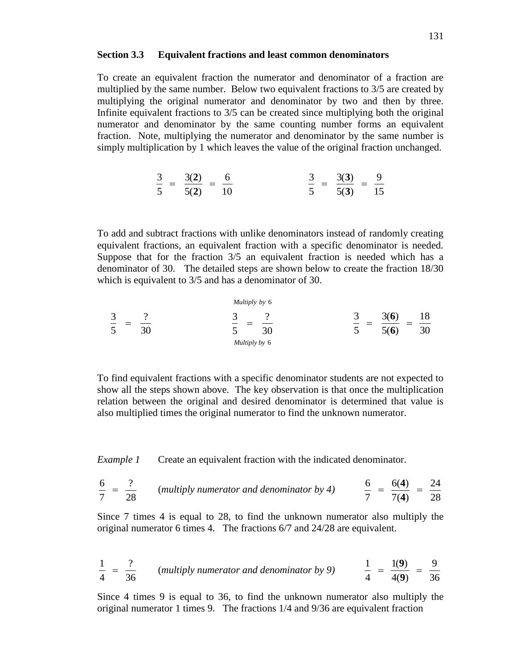To create an equivalent fraction the numerator and denominator of a fraction are multiplied by the same number. Below two equivalent fractions to 3/5 are created by multiplying the original numerator and denominator by two and then by three. Infinite equivalent fractions to 3/5 can be created since multiplying both the original numerator and denominator by the same counting number forms an equivalent fraction. Note, multiplying the numerator and denominator by the same number is simply multiplication by 1 which leaves the value of the original fraction unchanged.

$$
\frac{3}{5} = \frac{3(2)}{5(2)} = \frac{6}{10} \qquad \qquad \frac{3}{5} = \frac{3(3)}{5(3)} = \frac{9}{15}
$$

To add and subtract fractions with unlike denominators instead of randomly creating equivalent fractions, an equivalent fraction with a specific denominator is needed. Suppose that for the fraction 3/5 an equivalent fraction is needed which has a denominator of 30. The detailed steps are shown below to create the fraction 18/30 which is equivalent to 3/5 and has a denominator of 30.

$$
\frac{3}{5} = \frac{?}{30}
$$
\n
$$
\frac{3}{5} = \frac{?}{30}
$$
\n
$$
\frac{3}{5} = \frac{?}{30}
$$
\n
$$
\frac{3}{5} = \frac{3(6)}{5(6)} = \frac{18}{30}
$$

To find equivalent fractions with a specific denominator students are not expected to show all the steps shown above. The key observation is that once the multiplication relation between the original and desired denominator is determined that value is also multiplied times the original numerator to find the unknown numerator.

*Example 1* Create an equivalent fraction with the indicated denominator.

$$
\frac{6}{7} = \frac{?}{28}
$$
 (multiply numerator and denominator by 4) 
$$
\frac{6}{7} = \frac{6(4)}{7(4)} = \frac{24}{28}
$$

Since 7 times 4 is equal to 28, to find the unknown numerator also multiply the original numerator 6 times 4. The fractions 6/7 and 24/28 are equivalent.

$$
\frac{1}{4} = \frac{?}{36}
$$
 (multiply numerator and denominator by 9) 
$$
\frac{1}{4} = \frac{1(9)}{4(9)} = \frac{9}{36}
$$

Since 4 times 9 is equal to 36, to find the unknown numerator also multiply the original numerator 1 times 9. The fractions 1/4 and 9/36 are equivalent fraction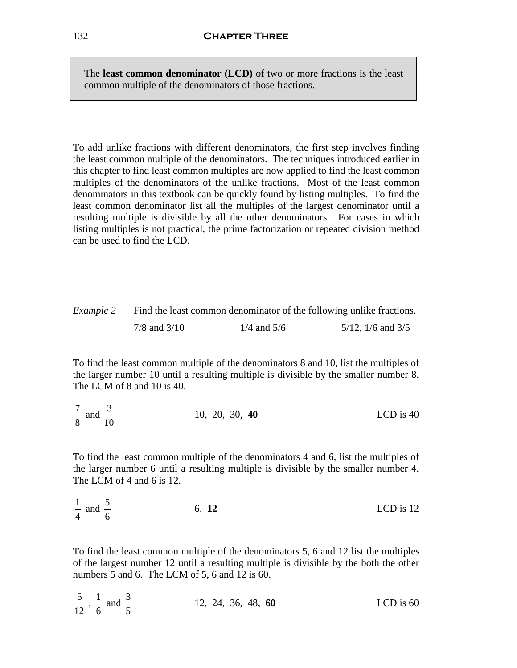The **least common denominator (LCD)** of two or more fractions is the least common multiple of the denominators of those fractions.

To add unlike fractions with different denominators, the first step involves finding the least common multiple of the denominators. The techniques introduced earlier in this chapter to find least common multiples are now applied to find the least common multiples of the denominators of the unlike fractions. Most of the least common denominators in this textbook can be quickly found by listing multiples. To find the least common denominator list all the multiples of the largest denominator until a resulting multiple is divisible by all the other denominators. For cases in which listing multiples is not practical, the prime factorization or repeated division method can be used to find the LCD.

| Example 2 |                  |                 | Find the least common denominator of the following unlike fractions. |  |
|-----------|------------------|-----------------|----------------------------------------------------------------------|--|
|           | $7/8$ and $3/10$ | $1/4$ and $5/6$ | $5/12$ , $1/6$ and $3/5$                                             |  |

To find the least common multiple of the denominators 8 and 10, list the multiples of the larger number 10 until a resulting multiple is divisible by the smaller number 8. The LCM of 8 and 10 is 40.

7 8 and  $\frac{3}{16}$ 10 10, 20, 30, **40** LCD is 40

To find the least common multiple of the denominators 4 and 6, list the multiples of the larger number 6 until a resulting multiple is divisible by the smaller number 4. The LCM of 4 and 6 is 12.

| $\frac{1}{2}$ and $\frac{5}{2}$ | 6, 12 | LCD is 12 |
|---------------------------------|-------|-----------|
| $\overline{4}$                  |       |           |

To find the least common multiple of the denominators 5, 6 and 12 list the multiples of the largest number 12 until a resulting multiple is divisible by the both the other numbers 5 and 6. The LCM of 5, 6 and 12 is 60.

5 12  $\frac{1}{2}$ 6 and  $\frac{3}{5}$ 5 12, 24, 36, 48, **60** LCD is 60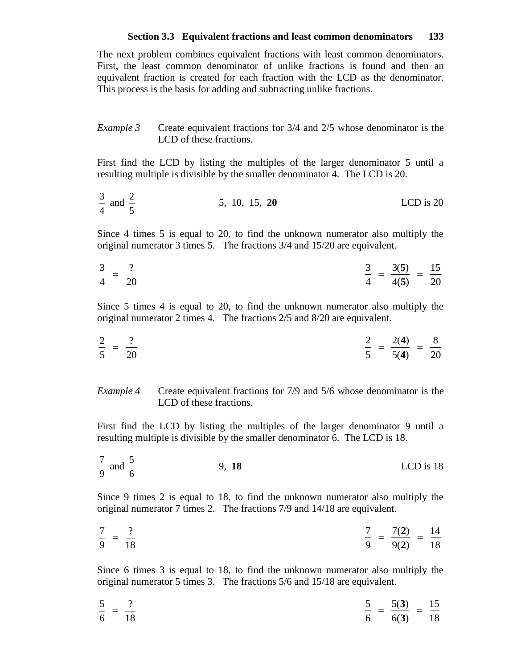The next problem combines equivalent fractions with least common denominators. First, the least common denominator of unlike fractions is found and then an equivalent fraction is created for each fraction with the LCD as the denominator. This process is the basis for adding and subtracting unlike fractions.

### *Example 3* Create equivalent fractions for 3/4 and 2/5 whose denominator is the LCD of these fractions.

First find the LCD by listing the multiples of the larger denominator 5 until a resulting multiple is divisible by the smaller denominator 4. The LCD is 20.

$$
\frac{3}{4}
$$
 and  $\frac{2}{5}$  5, 10, 15, **20** LCD is 20

Since 4 times 5 is equal to 20, to find the unknown numerator also multiply the original numerator 3 times 5. The fractions 3/4 and 15/20 are equivalent.

$$
\frac{3}{4} = \frac{?}{20}
$$
\n
$$
\frac{3}{4} = \frac{3(5)}{4(5)} = \frac{15}{20}
$$

Since 5 times 4 is equal to 20, to find the unknown numerator also multiply the original numerator 2 times 4. The fractions 2/5 and 8/20 are equivalent.

$$
\frac{2}{5} = \frac{?}{20} \qquad \qquad \frac{2}{5} = \frac{2(4)}{5(4)} = \frac{8}{20}
$$

*Example 4* Create equivalent fractions for 7/9 and 5/6 whose denominator is the LCD of these fractions.

First find the LCD by listing the multiples of the larger denominator 9 until a resulting multiple is divisible by the smaller denominator 6. The LCD is 18.

$$
\frac{7}{9}
$$
 and  $\frac{5}{6}$  9, 18 LCD is 18

Since 9 times 2 is equal to 18, to find the unknown numerator also multiply the original numerator 7 times 2. The fractions 7/9 and 14/18 are equivalent.

$$
\frac{7}{9} = \frac{?}{18}
$$
\n
$$
\frac{7}{9} = \frac{7(2)}{9(2)} = \frac{14}{18}
$$

Since 6 times 3 is equal to 18, to find the unknown numerator also multiply the original numerator 5 times 3. The fractions 5/6 and 15/18 are equivalent.

$$
\frac{5}{6} = \frac{?}{18} \qquad \qquad \frac{5}{6} = \frac{5(3)}{6(3)} = \frac{15}{18}
$$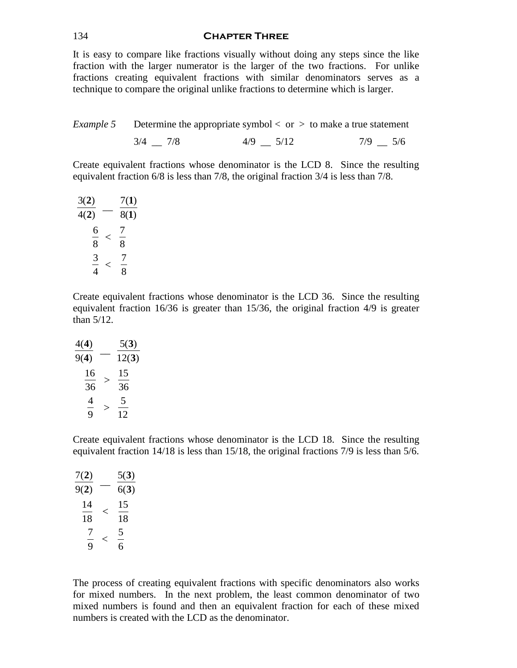#### 134 **Chapter Three**

It is easy to compare like fractions visually without doing any steps since the like fraction with the larger numerator is the larger of the two fractions. For unlike fractions creating equivalent fractions with similar denominators serves as a technique to compare the original unlike fractions to determine which is larger.

*Example 5* Determine the appropriate symbol  $\langle$  or  $\rangle$  to make a true statement

$$
3/4 \quad \_ \ 7/8 \qquad \qquad 4/9 \quad \_ \ 5/12 \qquad \qquad 7/9 \quad \_ \ 5/6
$$

Create equivalent fractions whose denominator is the LCD 8. Since the resulting equivalent fraction 6/8 is less than 7/8, the original fraction 3/4 is less than 7/8.

| 3(2)   |   | 7(1)               |
|--------|---|--------------------|
| 4(2)   |   | 8(1)               |
| 6<br>8 | ╯ | $\frac{1}{2}$<br>8 |
| 3<br>4 | < | 8                  |

Create equivalent fractions whose denominator is the LCD 36. Since the resulting equivalent fraction 16/36 is greater than 15/36, the original fraction 4/9 is greater than 5/12.

| 4(4) |   | 5(3)  |
|------|---|-------|
| 9(4) |   | 12(3) |
| 16   | > | 15    |
| 36   |   | 36    |
| 4    | > | 5     |
| 9    |   | 12    |

Create equivalent fractions whose denominator is the LCD 18. Since the resulting equivalent fraction 14/18 is less than 15/18, the original fractions 7/9 is less than 5/6.

| 7(2)     |   | 5(3)     |
|----------|---|----------|
| 9(2)     |   | 6(3)     |
| 14<br>18 | ← | 15<br>18 |
| Ί<br>9   | ← | 5<br>6   |

The process of creating equivalent fractions with specific denominators also works for mixed numbers. In the next problem, the least common denominator of two mixed numbers is found and then an equivalent fraction for each of these mixed numbers is created with the LCD as the denominator.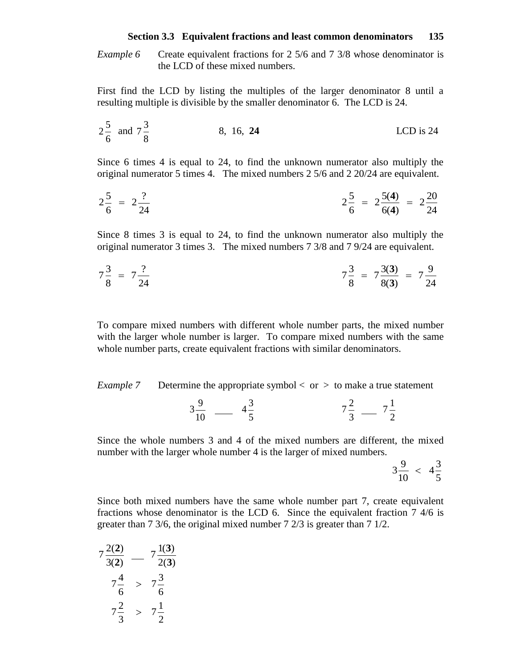*Example 6* Create equivalent fractions for 2 5/6 and 7 3/8 whose denominator is the LCD of these mixed numbers.

First find the LCD by listing the multiples of the larger denominator 8 until a resulting multiple is divisible by the smaller denominator 6. The LCD is 24.

$$
2\frac{5}{6}
$$
 and  $7\frac{3}{8}$  8, 16, 24 LCD is 24

Since 6 times 4 is equal to 24, to find the unknown numerator also multiply the original numerator 5 times 4. The mixed numbers 2 5/6 and 2 20/24 are equivalent.

$$
2\frac{5}{6} = 2\frac{?}{24}
$$
\n
$$
2\frac{5}{6} = 2\frac{5(4)}{6(4)} = 2\frac{20}{24}
$$

Since 8 times 3 is equal to 24, to find the unknown numerator also multiply the original numerator 3 times 3. The mixed numbers 7 3/8 and 7 9/24 are equivalent.

$$
7\frac{3}{8} = 7\frac{?}{24}
$$
\n
$$
7\frac{3}{8} = 7\frac{3(3)}{8(3)} = 7\frac{9}{24}
$$

To compare mixed numbers with different whole number parts, the mixed number with the larger whole number is larger. To compare mixed numbers with the same whole number parts, create equivalent fractions with similar denominators.

*Example 7* Determine the appropriate symbol < or > to make a true statement

$$
3\frac{9}{10} - 4\frac{3}{5} \qquad 7\frac{2}{3} - 7\frac{1}{2}
$$

Since the whole numbers 3 and 4 of the mixed numbers are different, the mixed number with the larger whole number 4 is the larger of mixed numbers.

$$
3\frac{9}{10} < 4\frac{3}{5}
$$

Since both mixed numbers have the same whole number part 7, create equivalent fractions whose denominator is the LCD 6. Since the equivalent fraction 7 4/6 is greater than 7 3/6, the original mixed number 7 2/3 is greater than 7 1/2.

$$
7\frac{2(2)}{3(2)} - 7\frac{1(3)}{2(3)}
$$
  

$$
7\frac{4}{6} > 7\frac{3}{6}
$$
  

$$
7\frac{2}{3} > 7\frac{1}{2}
$$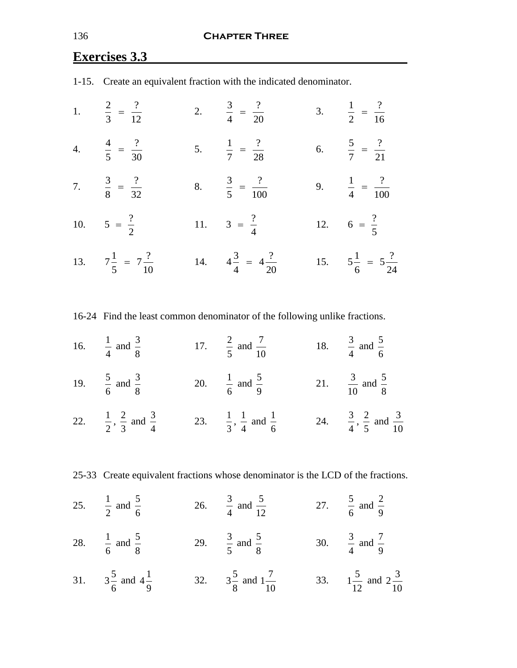# **Exercises 3.3**

|                                    | 1-15. Create an equivalent fraction with the indicated denominator. |                                    |
|------------------------------------|---------------------------------------------------------------------|------------------------------------|
| 1. $\frac{2}{3} = \frac{?}{12}$    | 2. $\frac{3}{4} = \frac{?}{20}$                                     | 3. $\frac{1}{2} = \frac{?}{16}$    |
| 4. $\frac{4}{5} = \frac{?}{30}$    | 5. $\frac{1}{7} = \frac{?}{28}$                                     | 6. $\frac{5}{7} = \frac{?}{21}$    |
| 7. $\frac{3}{8} = \frac{?}{32}$    | 8. $\frac{3}{5} = \frac{?}{100}$                                    | 9. $\frac{1}{4} = \frac{?}{100}$   |
| 10. $5 = \frac{?}{2}$              | 11. $3 = \frac{?}{4}$                                               | 12. $6 = \frac{?}{5}$              |
| 13. $7\frac{1}{5} = 7\frac{?}{10}$ | 14. $4\frac{3}{4} = 4\frac{?}{20}$                                  | 15. $5\frac{1}{6} = 5\frac{?}{24}$ |

1-15. Create an equivalent fraction with the indicated denominator.

16-24 Find the least common denominator of the following unlike fractions.

- 16.  $\frac{1}{1}$ 4 and  $\frac{3}{5}$ 8  $17. \frac{2}{5}$ 5 and  $\frac{7}{12}$ 10 18.  $\frac{3}{1}$ 4 and  $\frac{5}{5}$ 6
- 19.  $\frac{5}{1}$ 6 and  $\frac{3}{5}$ 8 20.  $\frac{1}{2}$ 6 and  $\frac{5}{9}$ 9 21.  $\frac{3}{16}$ 10 and  $\frac{5}{9}$ 8
- 22.  $\frac{1}{2}$ 2  $\frac{2}{1}$ 3 and  $\frac{3}{4}$ 4 23.  $\frac{1}{2}$ 3  $\frac{1}{\cdot}$ 4 and  $\frac{1}{2}$ 6 24.  $\frac{3}{4}$ 4  $\frac{2}{1}$ 5 and  $\frac{3}{16}$ 10

25-33 Create equivalent fractions whose denominator is the LCD of the fractions.

- 25.  $\frac{1}{2}$ 2 and  $\frac{5}{5}$ 6 26.  $\frac{3}{4}$ 4 and  $\frac{5}{12}$ 12 27.  $\frac{5}{5}$ 6 and  $\frac{2}{3}$ 9
- 28.  $\frac{1}{1}$ 6 and  $\frac{5}{9}$ 8 29.  $\frac{3}{5}$ 5 and  $\frac{5}{9}$ 8 30.  $\frac{3}{4}$ 4 and  $\frac{7}{9}$ 9
- 31.  $3\frac{5}{7}$ 6 and  $4\frac{1}{3}$ 9 32.  $3\frac{5}{3}$ 8 and  $1\frac{7}{16}$ 10 33.  $1\frac{5}{15}$ 12 and  $2\frac{3}{2}$ 10